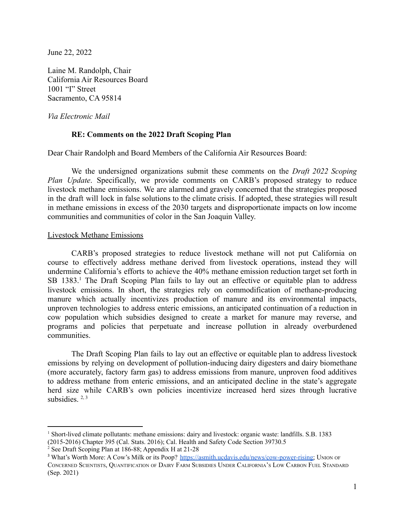June 22, 2022

Laine M. Randolph, Chair California Air Resources Board 1001 "I" Street Sacramento, CA 95814

*Via Electronic Mail*

# **RE: Comments on the 2022 Draft Scoping Plan**

Dear Chair Randolph and Board Members of the California Air Resources Board:

We the undersigned organizations submit these comments on the *Draft 2022 Scoping Plan Update*. Specifically, we provide comments on CARB's proposed strategy to reduce livestock methane emissions. We are alarmed and gravely concerned that the strategies proposed in the draft will lock in false solutions to the climate crisis. If adopted, these strategies will result in methane emissions in excess of the 2030 targets and disproportionate impacts on low income communities and communities of color in the San Joaquin Valley.

## Livestock Methane Emissions

CARB's proposed strategies to reduce livestock methane will not put California on course to effectively address methane derived from livestock operations, instead they will undermine California's efforts to achieve the 40% methane emission reduction target set forth in SB 1383.<sup>1</sup> The Draft Scoping Plan fails to lay out an effective or equitable plan to address livestock emissions. In short, the strategies rely on commodification of methane-producing manure which actually incentivizes production of manure and its environmental impacts, unproven technologies to address enteric emissions, an anticipated continuation of a reduction in cow population which subsidies designed to create a market for manure may reverse, and programs and policies that perpetuate and increase pollution in already overburdened communities.

The Draft Scoping Plan fails to lay out an effective or equitable plan to address livestock emissions by relying on development of pollution-inducing dairy digesters and dairy biomethane (more accurately, factory farm gas) to address emissions from manure, unproven food additives to address methane from enteric emissions, and an anticipated decline in the state's aggregate herd size while CARB's own policies incentivize increased herd sizes through lucrative subsidies.  $2, 3$ 

<sup>1</sup> Short-lived climate pollutants: methane emissions: dairy and livestock: organic waste: landfills. S.B. 1383 (2015-2016) Chapter 395 (Cal. Stats. 2016); Cal. Health and Safety Code Section 39730.5

<sup>2</sup> See Draft Scoping Plan at 186-88; Appendix H at 21-28

<sup>&</sup>lt;sup>3</sup> What's Worth More: A Cow's Milk or its Poop? [https://asmith.ucdavis.edu/news/cow-power-rising;](https://asmith.ucdavis.edu/news/cow-power-rising) UNION OF CONCERNED SCIENTISTS, QUANTIFICATION OF DAIRY FARM SUBSIDIES UNDER CALIFORNIA'<sup>S</sup> LOW CARBON FUEL STANDARD (Sep. 2021)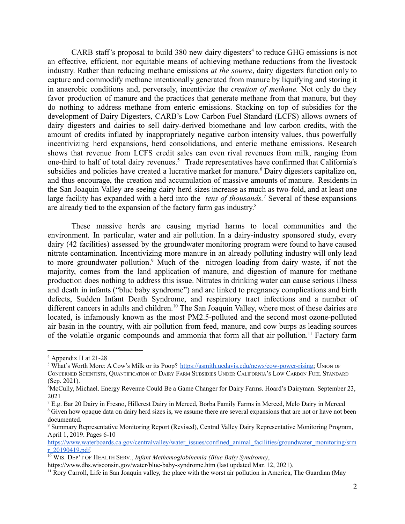CARB staff's proposal to build  $380$  new dairy digesters<sup>4</sup> to reduce GHG emissions is not an effective, efficient, nor equitable means of achieving methane reductions from the livestock industry. Rather than reducing methane emissions *at the source*, dairy digesters function only to capture and commodify methane intentionally generated from manure by liquifying and storing it in anaerobic conditions and, perversely, incentivize the *creation of methane.* Not only do they favor production of manure and the practices that generate methane from that manure, but they do nothing to address methane from enteric emissions. Stacking on top of subsidies for the development of Dairy Digesters, CARB's Low Carbon Fuel Standard (LCFS) allows owners of dairy digesters and dairies to sell dairy-derived biomethane and low carbon credits, with the amount of credits inflated by inappropriately negative carbon intensity values, thus powerfully incentivizing herd expansions, herd consolidations, and enteric methane emissions. Research shows that revenue from LCFS credit sales can even rival revenues from milk, ranging from one-third to half of total dairy revenues.<sup>5</sup> Trade representatives have confirmed that California's subsidies and policies have created a lucrative market for manure.<sup>6</sup> Dairy digesters capitalize on, and thus encourage, the creation and accumulation of massive amounts of manure. Residents in the San Joaquin Valley are seeing dairy herd sizes increase as much as two-fold, and at least one large facility has expanded with a herd into the *tens of thousands.<sup>7</sup>* Several of these expansions are already tied to the expansion of the factory farm gas industry.<sup>8</sup>

These massive herds are causing myriad harms to local communities and the environment. In particular, water and air pollution. In a dairy-industry sponsored study, every dairy (42 facilities) assessed by the groundwater monitoring program were found to have caused nitrate contamination. Incentivizing more manure in an already polluting industry will only lead to more groundwater pollution.<sup>9</sup> Much of the nitrogen loading from dairy waste, if not the majority, comes from the land application of manure, and digestion of manure for methane production does nothing to address this issue. Nitrates in drinking water can cause serious illness and death in infants ("blue baby syndrome") and are linked to pregnancy complications and birth defects, Sudden Infant Death Syndrome, and respiratory tract infections and a number of different cancers in adults and children.<sup>10</sup> The San Joaquin Valley, where most of these dairies are located, is infamously known as the most PM2.5-polluted and the second most ozone-polluted air basin in the country, with air pollution from feed, manure, and cow burps as leading sources of the volatile organic compounds and ammonia that form all that air pollution.<sup>11</sup> Factory farm

<sup>4</sup> Appendix H at 21-28

<sup>&</sup>lt;sup>5</sup> What's Worth More: A Cow's Milk or its Poop? [https://asmith.ucdavis.edu/news/cow-power-rising;](https://asmith.ucdavis.edu/news/cow-power-rising) UNION OF CONCERNED SCIENTISTS, QUANTIFICATION OF DAIRY FARM SUBSIDIES UNDER CALIFORNIA'<sup>S</sup> LOW CARBON FUEL STANDARD (Sep. 2021).

<sup>6</sup>McCully, Michael. Energy Revenue Could Be a Game Changer for Dairy Farms. Hoard's Dairyman. September 23, 2021

<sup>7</sup> E.g. Bar 20 Dairy in Fresno, Hillcrest Dairy in Merced, Borba Family Farms in Merced, Melo Dairy in Merced

<sup>&</sup>lt;sup>8</sup> Given how opaque data on dairy herd sizes is, we assume there are several expansions that are not or have not been documented.

<sup>9</sup> Summary Representative Monitoring Report (Revised), Central Valley Dairy Representative Monitoring Program, April 1, 2019. Pages 6-10

[https://www.waterboards.ca.gov/centralvalley/water\\_issues/confined\\_animal\\_facilities/groundwater\\_monitoring/srm](https://www.waterboards.ca.gov/centralvalley/water_issues/confined_animal_facilities/groundwater_monitoring/srmr_20190419.pdf) [r\\_20190419.pdf](https://www.waterboards.ca.gov/centralvalley/water_issues/confined_animal_facilities/groundwater_monitoring/srmr_20190419.pdf).

<sup>10</sup> WIS. DEP'T OF HEALTH SERV., *Infant Methemoglobinemia (Blue Baby Syndrome)*,

https://www.dhs.wisconsin.gov/water/blue-baby-syndrome.htm (last updated Mar. 12, 2021).

<sup>&</sup>lt;sup>11</sup> Rory Carroll, Life in San Joaquin valley, the place with the worst air pollution in America, The Guardian (May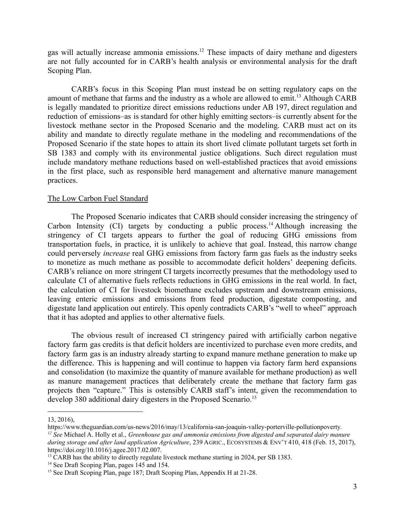gas will actually increase ammonia emissions.<sup>12</sup> These impacts of dairy methane and digesters are not fully accounted for in CARB's health analysis or environmental analysis for the draft Scoping Plan.

CARB's focus in this Scoping Plan must instead be on setting regulatory caps on the amount of methane that farms and the industry as a whole are allowed to emit.<sup>13</sup> Although CARB is legally mandated to prioritize direct emissions reductions under AB 197, direct regulation and reduction of emissions–as is standard for other highly emitting sectors–is currently absent for the livestock methane sector in the Proposed Scenario and the modeling. CARB must act on its ability and mandate to directly regulate methane in the modeling and recommendations of the Proposed Scenario if the state hopes to attain its short lived climate pollutant targets set forth in SB 1383 and comply with its environmental justice obligations. Such direct regulation must include mandatory methane reductions based on well-established practices that avoid emissions in the first place, such as responsible herd management and alternative manure management practices.

#### The Low Carbon Fuel Standard

The Proposed Scenario indicates that CARB should consider increasing the stringency of Carbon Intensity (CI) targets by conducting a public process.<sup>14</sup> Although increasing the stringency of CI targets appears to further the goal of reducing GHG emissions from transportation fuels, in practice, it is unlikely to achieve that goal. Instead, this narrow change could perversely *increase* real GHG emissions from factory farm gas fuels as the industry seeks to monetize as much methane as possible to accommodate deficit holders' deepening deficits. CARB's reliance on more stringent CI targets incorrectly presumes that the methodology used to calculate CI of alternative fuels reflects reductions in GHG emissions in the real world. In fact, the calculation of CI for livestock biomethane excludes upstream and downstream emissions, leaving enteric emissions and emissions from feed production, digestate composting, and digestate land application out entirely. This openly contradicts CARB's "well to wheel" approach that it has adopted and applies to other alternative fuels.

The obvious result of increased CI stringency paired with artificially carbon negative factory farm gas credits is that deficit holders are incentivized to purchase even more credits, and factory farm gas is an industry already starting to expand manure methane generation to make up the difference. This is happening and will continue to happen via factory farm herd expansions and consolidation (to maximize the quantity of manure available for methane production) as well as manure management practices that deliberately create the methane that factory farm gas projects then "capture." This is ostensibly CARB staff's intent, given the recommendation to develop 380 additional dairy digesters in the Proposed Scenario.<sup>15</sup>

<sup>13,</sup> 2016),

*<sup>12</sup> See* Michael A. Holly et al., *Greenhouse gas and ammonia emissions from digested and separated dairy manure during storage and after land application Agriculture*, 239 AGRIC., ECOSYSTEMS & ENV'T 410, 418 (Feb. 15, 2017), https://doi.org/10.1016/j.agee.2017.02.007. https://www.theguardian.com/us-news/2016/may/13/california-san-joaquin-valley-porterville-pollutionpoverty.

<sup>&</sup>lt;sup>13</sup> CARB has the ability to directly regulate livestock methane starting in 2024, per SB 1383.

<sup>&</sup>lt;sup>14</sup> See Draft Scoping Plan, pages 145 and 154.

<sup>&</sup>lt;sup>15</sup> See Draft Scoping Plan, page 187; Draft Scoping Plan, Appendix H at 21-28.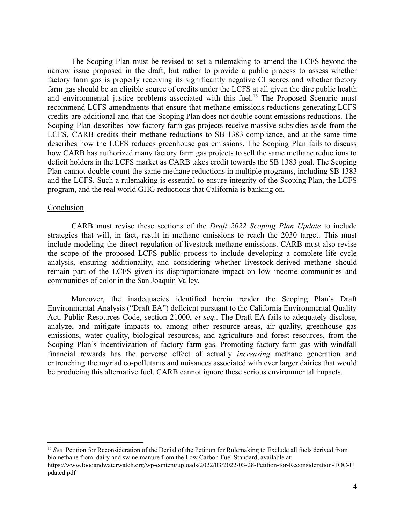The Scoping Plan must be revised to set a rulemaking to amend the LCFS beyond the narrow issue proposed in the draft, but rather to provide a public process to assess whether factory farm gas is properly receiving its significantly negative CI scores and whether factory farm gas should be an eligible source of credits under the LCFS at all given the dire public health and environmental justice problems associated with this fuel.<sup>16</sup> The Proposed Scenario must recommend LCFS amendments that ensure that methane emissions reductions generating LCFS credits are additional and that the Scoping Plan does not double count emissions reductions. The Scoping Plan describes how factory farm gas projects receive massive subsidies aside from the LCFS, CARB credits their methane reductions to SB 1383 compliance, and at the same time describes how the LCFS reduces greenhouse gas emissions. The Scoping Plan fails to discuss how CARB has authorized many factory farm gas projects to sell the same methane reductions to deficit holders in the LCFS market as CARB takes credit towards the SB 1383 goal. The Scoping Plan cannot double-count the same methane reductions in multiple programs, including SB 1383 and the LCFS. Such a rulemaking is essential to ensure integrity of the Scoping Plan, the LCFS program, and the real world GHG reductions that California is banking on.

## Conclusion

CARB must revise these sections of the *Draft 2022 Scoping Plan Update* to include strategies that will, in fact, result in methane emissions to reach the 2030 target. This must include modeling the direct regulation of livestock methane emissions. CARB must also revise the scope of the proposed LCFS public process to include developing a complete life cycle analysis, ensuring additionality, and considering whether livestock-derived methane should remain part of the LCFS given its disproportionate impact on low income communities and communities of color in the San Joaquin Valley.

Moreover, the inadequacies identified herein render the Scoping Plan's Draft Environmental Analysis ("Draft EA") deficient pursuant to the California Environmental Quality Act, Public Resources Code, section 21000, *et seq*.. The Draft EA fails to adequately disclose, analyze, and mitigate impacts to, among other resource areas, air quality, greenhouse gas emissions, water quality, biological resources, and agriculture and forest resources, from the Scoping Plan's incentivization of factory farm gas. Promoting factory farm gas with windfall financial rewards has the perverse effect of actually *increasing* methane generation and entrenching the myriad co-pollutants and nuisances associated with ever larger dairies that would be producing this alternative fuel. CARB cannot ignore these serious environmental impacts.

<sup>&</sup>lt;sup>16</sup> See Petition for Reconsideration of the Denial of the Petition for Rulemaking to Exclude all fuels derived from biomethane from dairy and swine manure from the Low Carbon Fuel Standard, available at: https://www.foodandwaterwatch.org/wp-content/uploads/2022/03/2022-03-28-Petition-for-Reconsideration-TOC-U pdated.pdf